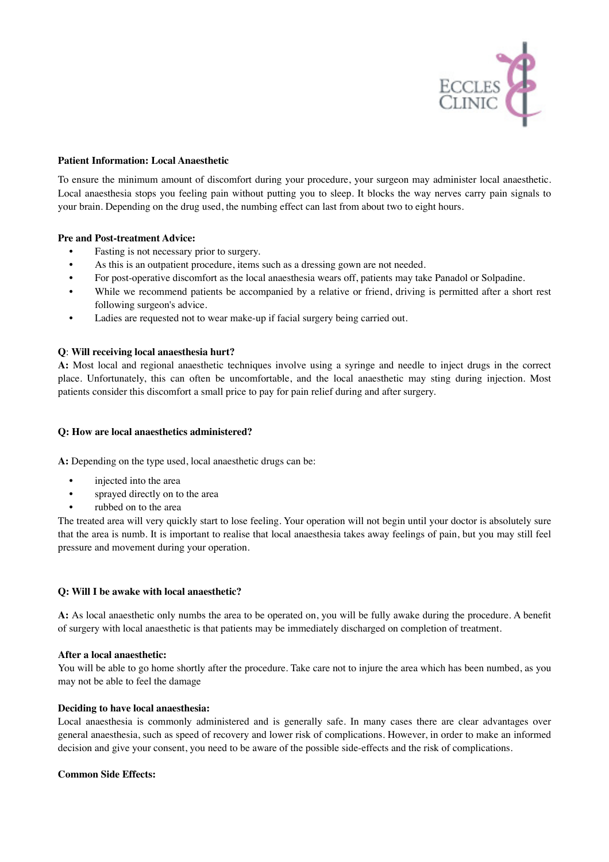

# **Patient Information: Local Anaesthetic**

To ensure the minimum amount of discomfort during your procedure, your surgeon may administer local anaesthetic. Local anaesthesia stops you feeling pain without putting you to sleep. It blocks the way nerves carry pain signals to your brain. Depending on the drug used, the numbing effect can last from about two to eight hours.

# **Pre and Post-treatment Advice:**

- Fasting is not necessary prior to surgery.
- As this is an outpatient procedure, items such as a dressing gown are not needed.
- For post-operative discomfort as the local anaesthesia wears off, patients may take Panadol or Solpadine.
- While we recommend patients be accompanied by a relative or friend, driving is permitted after a short rest following surgeon's advice.
- Ladies are requested not to wear make-up if facial surgery being carried out.

# **Q**: **Will receiving local anaesthesia hurt?**

**A:** Most local and regional anaesthetic techniques involve using a syringe and needle to inject drugs in the correct place. Unfortunately, this can often be uncomfortable, and the local anaesthetic may sting during injection. Most patients consider this discomfort a small price to pay for pain relief during and after surgery.

# **Q: How are local anaesthetics administered?**

**A:** Depending on the type used, local anaesthetic drugs can be:

- injected into the area
- sprayed directly on to the area
- rubbed on to the area

The treated area will very quickly start to lose feeling. Your operation will not begin until your doctor is absolutely sure that the area is numb. It is important to realise that local anaesthesia takes away feelings of pain, but you may still feel pressure and movement during your operation.

#### **Q: Will I be awake with local anaesthetic?**

**A:** As local anaesthetic only numbs the area to be operated on, you will be fully awake during the procedure. A benefit of surgery with local anaesthetic is that patients may be immediately discharged on completion of treatment.

# **After a local anaesthetic:**

You will be able to go home shortly after the procedure. Take care not to injure the area which has been numbed, as you may not be able to feel the damage

#### **Deciding to have local anaesthesia:**

Local anaesthesia is commonly administered and is generally safe. In many cases there are clear advantages over general anaesthesia, such as speed of recovery and lower risk of complications. However, in order to make an informed decision and give your consent, you need to be aware of the possible side-effects and the risk of complications.

#### **Common Side Effects:**